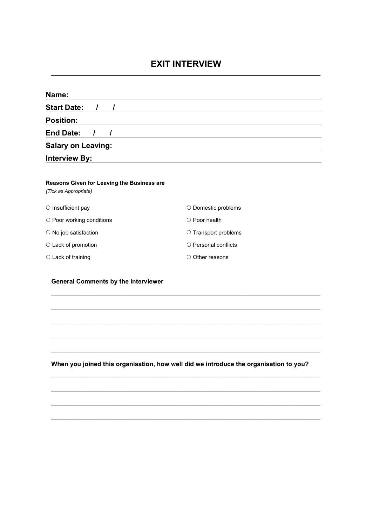## **EXIT INTERVIEW**

| Name:                                                               |                                                                                           |
|---------------------------------------------------------------------|-------------------------------------------------------------------------------------------|
| <b>Start Date:</b><br>$\prime$<br>$\prime$                          |                                                                                           |
| <b>Position:</b>                                                    |                                                                                           |
| <b>End Date:</b><br>$\prime$<br>T                                   | the control of the control of the control of the control of the control of the control of |
| <b>Salary on Leaving:</b>                                           |                                                                                           |
| <b>Interview By:</b>                                                |                                                                                           |
| Reasons Given for Leaving the Business are<br>(Tick as Appropriate) |                                                                                           |
| O Insufficient pay                                                  | O Domestic problems                                                                       |
| O Poor working conditions                                           | O Poor health                                                                             |
| O No job satisfaction                                               | O Transport problems                                                                      |
| O Lack of promotion                                                 | O Personal conflicts                                                                      |
| O Lack of training                                                  | O Other reasons                                                                           |
| <b>General Comments by the Interviewer</b>                          |                                                                                           |
|                                                                     |                                                                                           |
|                                                                     |                                                                                           |

**When you joined this organisation, how well did we introduce the organisation to you?**

 $\mathcal{L}_\mathcal{L} = \{ \mathcal{L}_\mathcal{L} = \{ \mathcal{L}_\mathcal{L} = \{ \mathcal{L}_\mathcal{L} = \{ \mathcal{L}_\mathcal{L} = \{ \mathcal{L}_\mathcal{L} = \{ \mathcal{L}_\mathcal{L} = \{ \mathcal{L}_\mathcal{L} = \{ \mathcal{L}_\mathcal{L} = \{ \mathcal{L}_\mathcal{L} = \{ \mathcal{L}_\mathcal{L} = \{ \mathcal{L}_\mathcal{L} = \{ \mathcal{L}_\mathcal{L} = \{ \mathcal{L}_\mathcal{L} = \{ \mathcal{L}_\mathcal{$ 

**\_\_\_\_\_\_\_\_\_\_\_\_\_\_\_\_\_\_\_\_\_\_\_\_\_\_\_\_\_\_\_\_\_\_\_\_\_\_\_\_\_\_\_\_\_\_\_\_\_\_\_\_\_\_\_\_\_\_\_\_\_\_\_\_\_\_\_\_\_\_\_\_\_\_\_\_\_\_\_\_\_\_\_\_\_\_**

 $\mathcal{L}_\mathcal{L} = \mathcal{L}_\mathcal{L} = \mathcal{L}_\mathcal{L} = \mathcal{L}_\mathcal{L} = \mathcal{L}_\mathcal{L} = \mathcal{L}_\mathcal{L} = \mathcal{L}_\mathcal{L} = \mathcal{L}_\mathcal{L} = \mathcal{L}_\mathcal{L} = \mathcal{L}_\mathcal{L} = \mathcal{L}_\mathcal{L} = \mathcal{L}_\mathcal{L} = \mathcal{L}_\mathcal{L} = \mathcal{L}_\mathcal{L} = \mathcal{L}_\mathcal{L} = \mathcal{L}_\mathcal{L} = \mathcal{L}_\mathcal{L}$ 

 $\mathcal{L}_\mathcal{L} = \mathcal{L}_\mathcal{L} = \mathcal{L}_\mathcal{L} = \mathcal{L}_\mathcal{L} = \mathcal{L}_\mathcal{L} = \mathcal{L}_\mathcal{L} = \mathcal{L}_\mathcal{L} = \mathcal{L}_\mathcal{L} = \mathcal{L}_\mathcal{L} = \mathcal{L}_\mathcal{L} = \mathcal{L}_\mathcal{L} = \mathcal{L}_\mathcal{L} = \mathcal{L}_\mathcal{L} = \mathcal{L}_\mathcal{L} = \mathcal{L}_\mathcal{L} = \mathcal{L}_\mathcal{L} = \mathcal{L}_\mathcal{L}$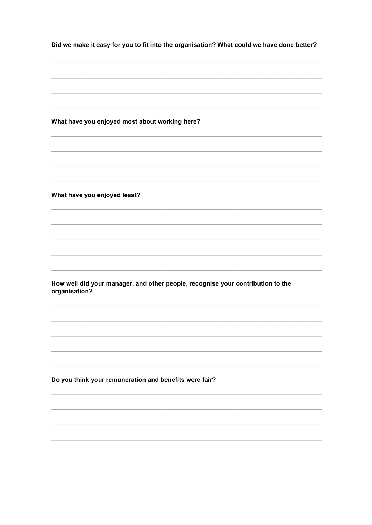Did we make it easy for you to fit into the organisation? What could we have done better? What have you enjoyed most about working here? What have you enjoyed least? How well did your manager, and other people, recognise your contribution to the organisation? Do you think your remuneration and benefits were fair?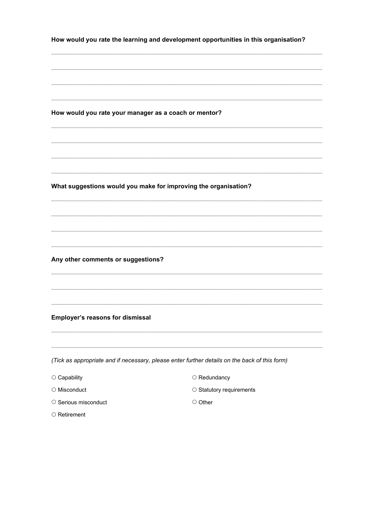| How would you rate the learning and development opportunities in this organisation? |
|-------------------------------------------------------------------------------------|
|                                                                                     |

How would you rate your manager as a coach or mentor?

What suggestions would you make for improving the organisation?

Any other comments or suggestions?

**Employer's reasons for dismissal** 

(Tick as appropriate and if necessary, please enter further details on the back of this form)

- $\circ$  Capability
- $\circ$  Misconduct
- Serious misconduct
- Retirement
- O Redundancy
- $\circ$  Statutory requirements
- Other